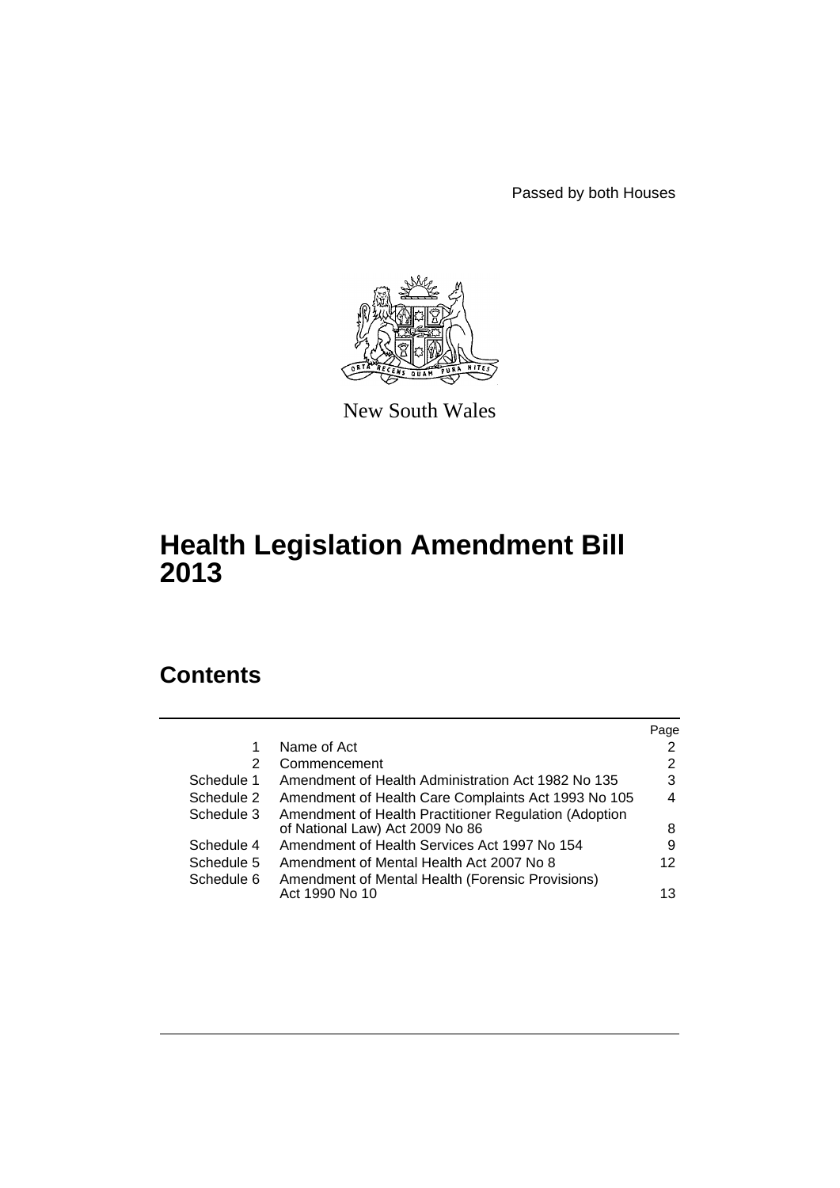Passed by both Houses



New South Wales

# **Health Legislation Amendment Bill 2013**

# **Contents**

|            |                                                                                          | Page |
|------------|------------------------------------------------------------------------------------------|------|
|            | Name of Act                                                                              | 2    |
| 2          | Commencement                                                                             | 2    |
| Schedule 1 | Amendment of Health Administration Act 1982 No 135                                       | 3    |
| Schedule 2 | Amendment of Health Care Complaints Act 1993 No 105                                      | 4    |
| Schedule 3 | Amendment of Health Practitioner Regulation (Adoption<br>of National Law) Act 2009 No 86 | 8    |
| Schedule 4 | Amendment of Health Services Act 1997 No 154                                             | 9    |
| Schedule 5 | Amendment of Mental Health Act 2007 No 8                                                 | 12   |
| Schedule 6 | Amendment of Mental Health (Forensic Provisions)<br>Act 1990 No 10                       | 13   |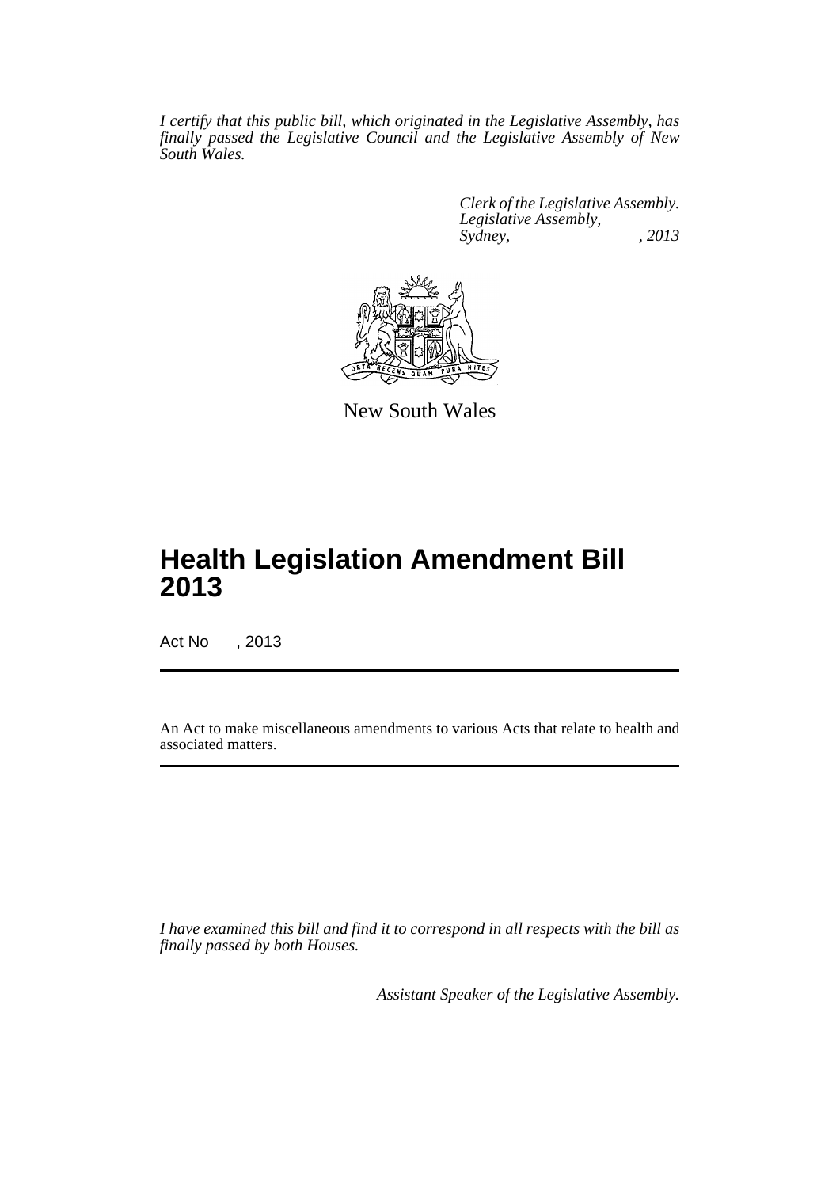*I certify that this public bill, which originated in the Legislative Assembly, has finally passed the Legislative Council and the Legislative Assembly of New South Wales.*

> *Clerk of the Legislative Assembly. Legislative Assembly, Sydney, , 2013*



New South Wales

# **Health Legislation Amendment Bill 2013**

Act No , 2013

An Act to make miscellaneous amendments to various Acts that relate to health and associated matters.

*I have examined this bill and find it to correspond in all respects with the bill as finally passed by both Houses.*

*Assistant Speaker of the Legislative Assembly.*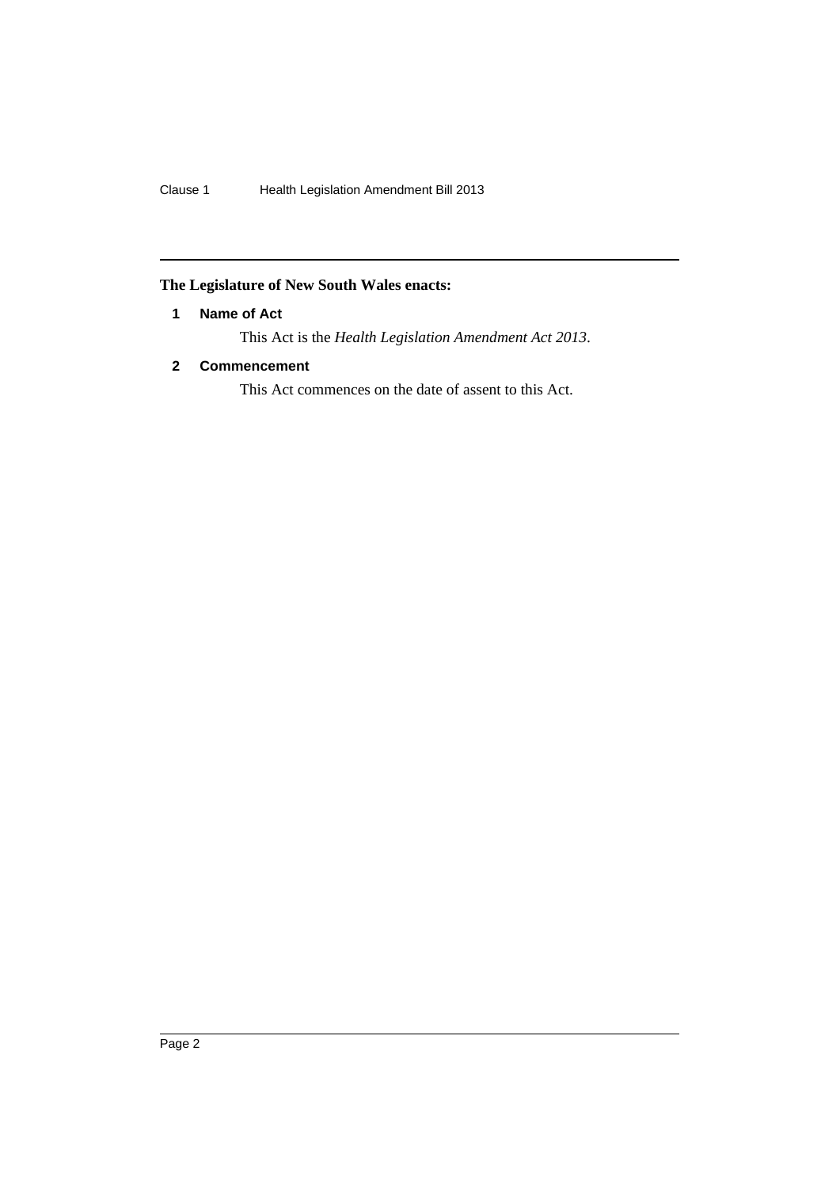# <span id="page-2-0"></span>**The Legislature of New South Wales enacts:**

# **1 Name of Act**

This Act is the *Health Legislation Amendment Act 2013*.

# <span id="page-2-1"></span>**2 Commencement**

This Act commences on the date of assent to this Act.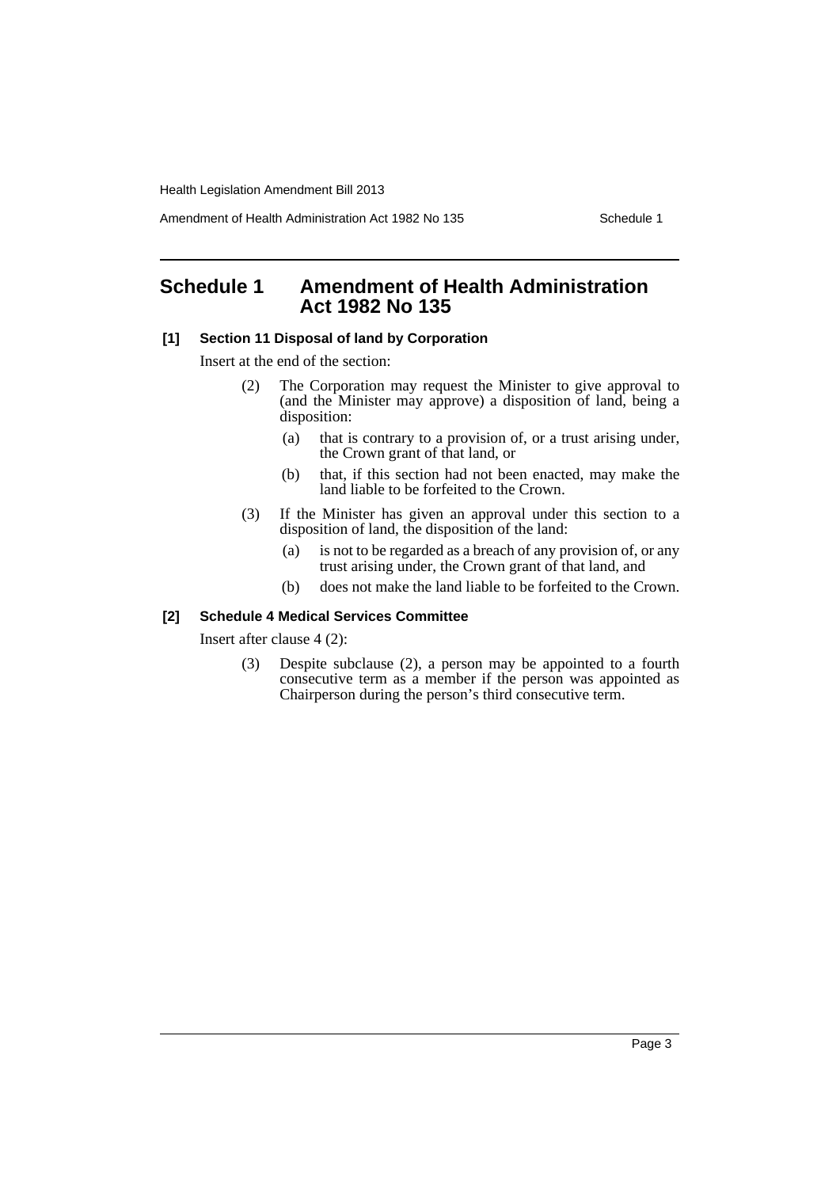Amendment of Health Administration Act 1982 No 135 Schedule 1

# <span id="page-3-0"></span>**Schedule 1 Amendment of Health Administration Act 1982 No 135**

## **[1] Section 11 Disposal of land by Corporation**

Insert at the end of the section:

- (2) The Corporation may request the Minister to give approval to (and the Minister may approve) a disposition of land, being a disposition:
	- (a) that is contrary to a provision of, or a trust arising under, the Crown grant of that land, or
	- (b) that, if this section had not been enacted, may make the land liable to be forfeited to the Crown.
- (3) If the Minister has given an approval under this section to a disposition of land, the disposition of the land:
	- (a) is not to be regarded as a breach of any provision of, or any trust arising under, the Crown grant of that land, and
	- (b) does not make the land liable to be forfeited to the Crown.

## **[2] Schedule 4 Medical Services Committee**

Insert after clause 4 (2):

(3) Despite subclause (2), a person may be appointed to a fourth consecutive term as a member if the person was appointed as Chairperson during the person's third consecutive term.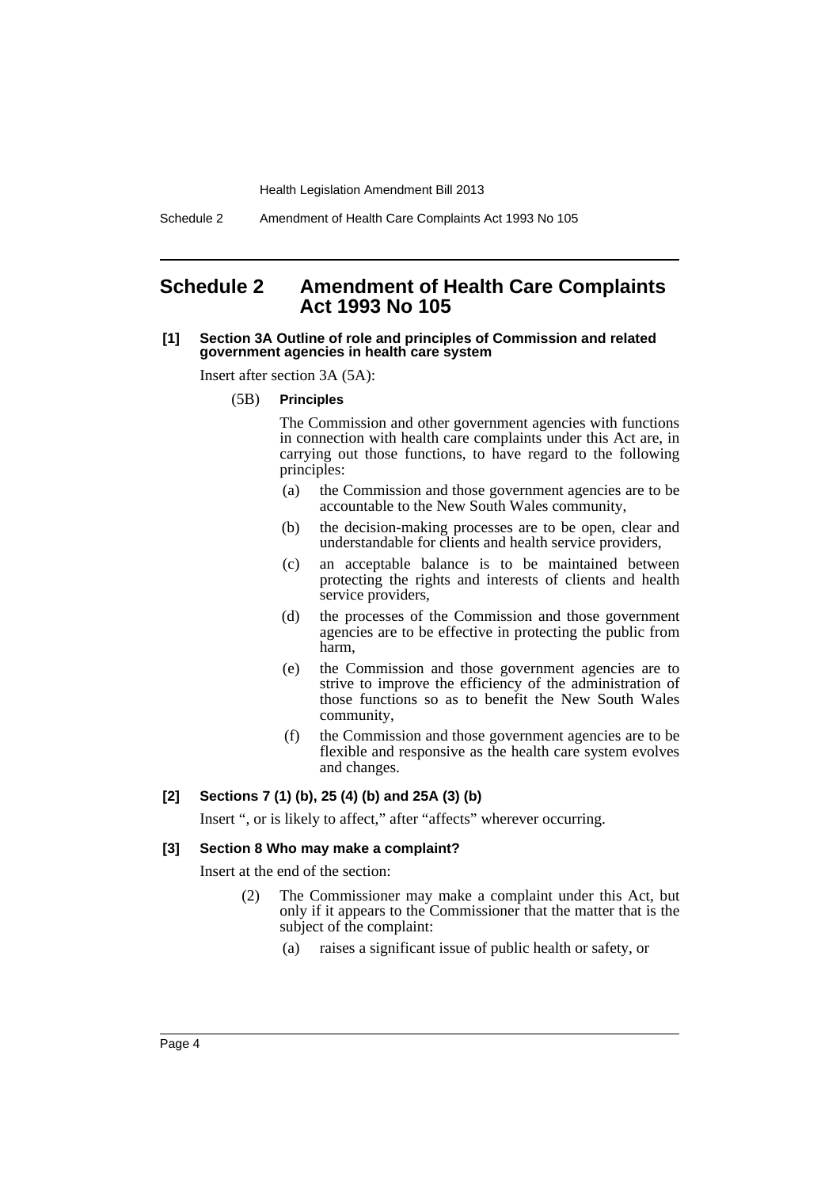Schedule 2 Amendment of Health Care Complaints Act 1993 No 105

# <span id="page-4-0"></span>**Schedule 2 Amendment of Health Care Complaints Act 1993 No 105**

### **[1] Section 3A Outline of role and principles of Commission and related government agencies in health care system**

Insert after section 3A (5A):

(5B) **Principles**

The Commission and other government agencies with functions in connection with health care complaints under this Act are, in carrying out those functions, to have regard to the following principles:

- (a) the Commission and those government agencies are to be accountable to the New South Wales community,
- (b) the decision-making processes are to be open, clear and understandable for clients and health service providers,
- (c) an acceptable balance is to be maintained between protecting the rights and interests of clients and health service providers,
- (d) the processes of the Commission and those government agencies are to be effective in protecting the public from harm,
- (e) the Commission and those government agencies are to strive to improve the efficiency of the administration of those functions so as to benefit the New South Wales community,
- (f) the Commission and those government agencies are to be flexible and responsive as the health care system evolves and changes.

## **[2] Sections 7 (1) (b), 25 (4) (b) and 25A (3) (b)**

Insert ", or is likely to affect," after "affects" wherever occurring.

### **[3] Section 8 Who may make a complaint?**

Insert at the end of the section:

- (2) The Commissioner may make a complaint under this Act, but only if it appears to the Commissioner that the matter that is the subject of the complaint:
	- (a) raises a significant issue of public health or safety, or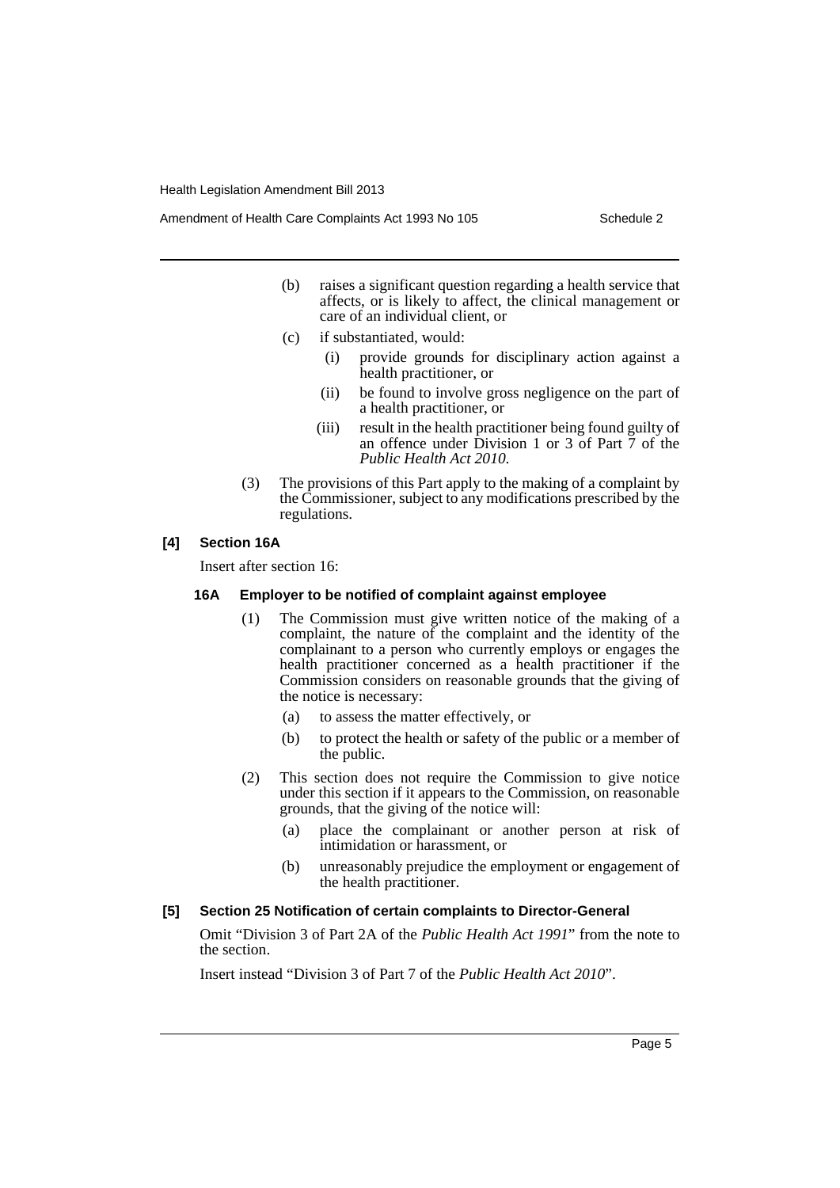- (b) raises a significant question regarding a health service that affects, or is likely to affect, the clinical management or care of an individual client, or
- (c) if substantiated, would:
	- (i) provide grounds for disciplinary action against a health practitioner, or
	- (ii) be found to involve gross negligence on the part of a health practitioner, or
	- (iii) result in the health practitioner being found guilty of an offence under Division 1 or 3 of Part 7 of the *Public Health Act 2010*.
- (3) The provisions of this Part apply to the making of a complaint by the Commissioner, subject to any modifications prescribed by the regulations.

## **[4] Section 16A**

Insert after section 16:

## **16A Employer to be notified of complaint against employee**

- (1) The Commission must give written notice of the making of a complaint, the nature of the complaint and the identity of the complainant to a person who currently employs or engages the health practitioner concerned as a health practitioner if the Commission considers on reasonable grounds that the giving of the notice is necessary:
	- (a) to assess the matter effectively, or
	- (b) to protect the health or safety of the public or a member of the public.
- (2) This section does not require the Commission to give notice under this section if it appears to the Commission, on reasonable grounds, that the giving of the notice will:
	- (a) place the complainant or another person at risk of intimidation or harassment, or
	- (b) unreasonably prejudice the employment or engagement of the health practitioner.

## **[5] Section 25 Notification of certain complaints to Director-General**

Omit "Division 3 of Part 2A of the *Public Health Act 1991*" from the note to the section.

Insert instead "Division 3 of Part 7 of the *Public Health Act 2010*".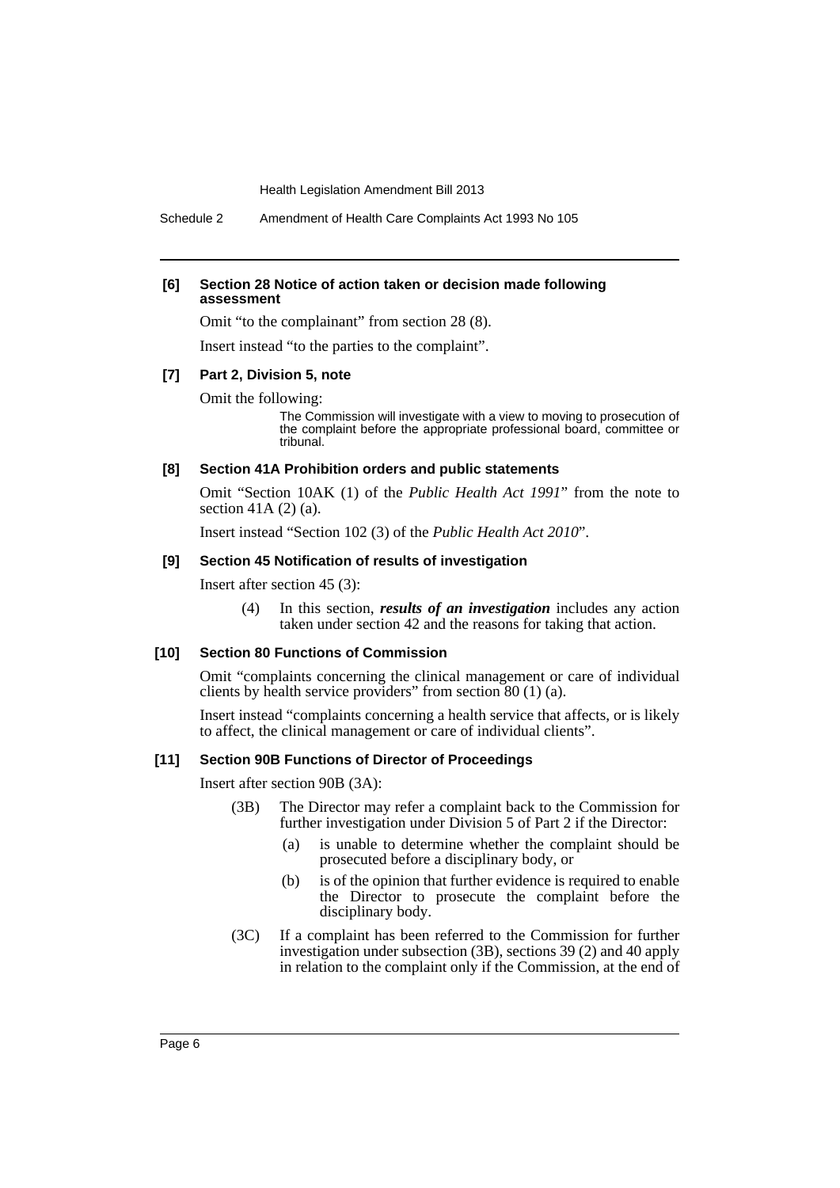Schedule 2 Amendment of Health Care Complaints Act 1993 No 105

#### **[6] Section 28 Notice of action taken or decision made following assessment**

Omit "to the complainant" from section 28 (8).

Insert instead "to the parties to the complaint".

#### **[7] Part 2, Division 5, note**

Omit the following:

The Commission will investigate with a view to moving to prosecution of the complaint before the appropriate professional board, committee or tribunal.

### **[8] Section 41A Prohibition orders and public statements**

Omit "Section 10AK (1) of the *Public Health Act 1991*" from the note to section 41A (2) (a).

Insert instead "Section 102 (3) of the *Public Health Act 2010*".

#### **[9] Section 45 Notification of results of investigation**

Insert after section 45 (3):

(4) In this section, *results of an investigation* includes any action taken under section 42 and the reasons for taking that action.

#### **[10] Section 80 Functions of Commission**

Omit "complaints concerning the clinical management or care of individual clients by health service providers" from section 80 (1) (a).

Insert instead "complaints concerning a health service that affects, or is likely to affect, the clinical management or care of individual clients".

#### **[11] Section 90B Functions of Director of Proceedings**

Insert after section 90B (3A):

- (3B) The Director may refer a complaint back to the Commission for further investigation under Division 5 of Part 2 if the Director:
	- (a) is unable to determine whether the complaint should be prosecuted before a disciplinary body, or
	- (b) is of the opinion that further evidence is required to enable the Director to prosecute the complaint before the disciplinary body.
- (3C) If a complaint has been referred to the Commission for further investigation under subsection (3B), sections 39 (2) and 40 apply in relation to the complaint only if the Commission, at the end of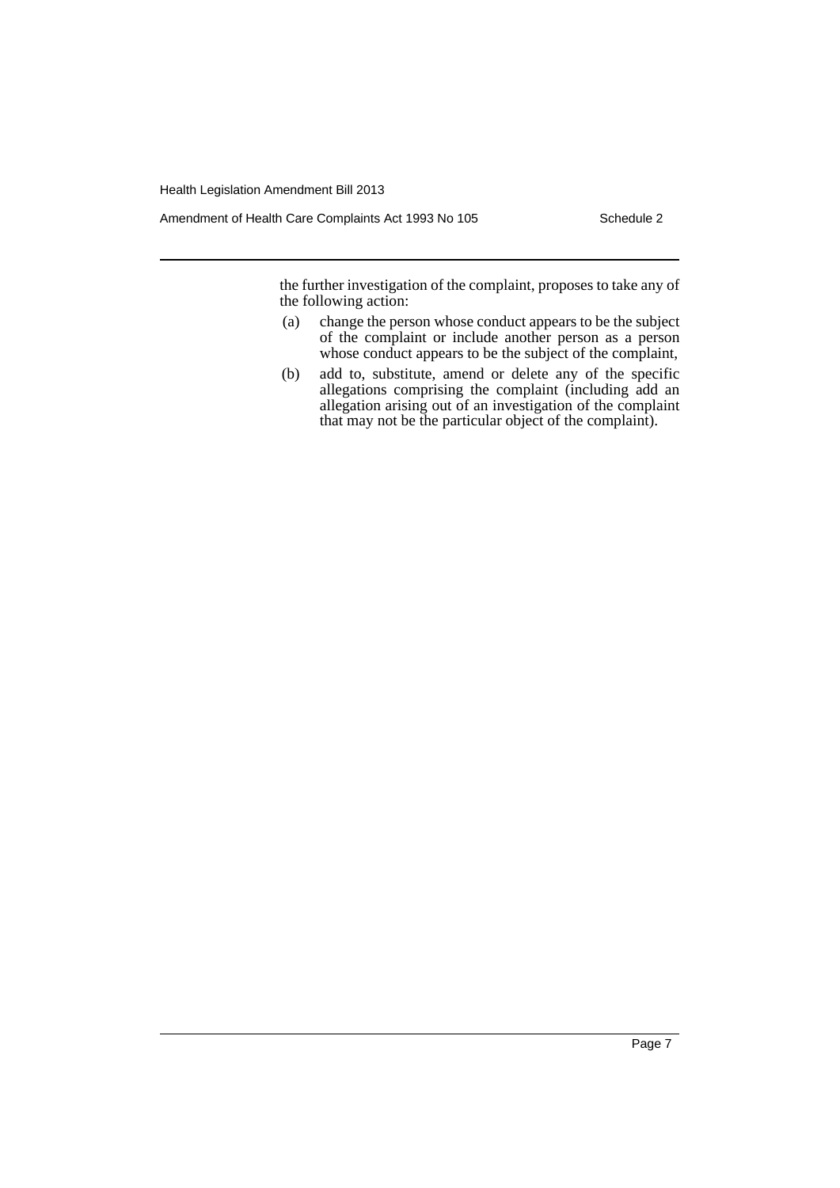Amendment of Health Care Complaints Act 1993 No 105 Schedule 2

the further investigation of the complaint, proposes to take any of the following action:

- (a) change the person whose conduct appears to be the subject of the complaint or include another person as a person whose conduct appears to be the subject of the complaint,
- (b) add to, substitute, amend or delete any of the specific allegations comprising the complaint (including add an allegation arising out of an investigation of the complaint that may not be the particular object of the complaint).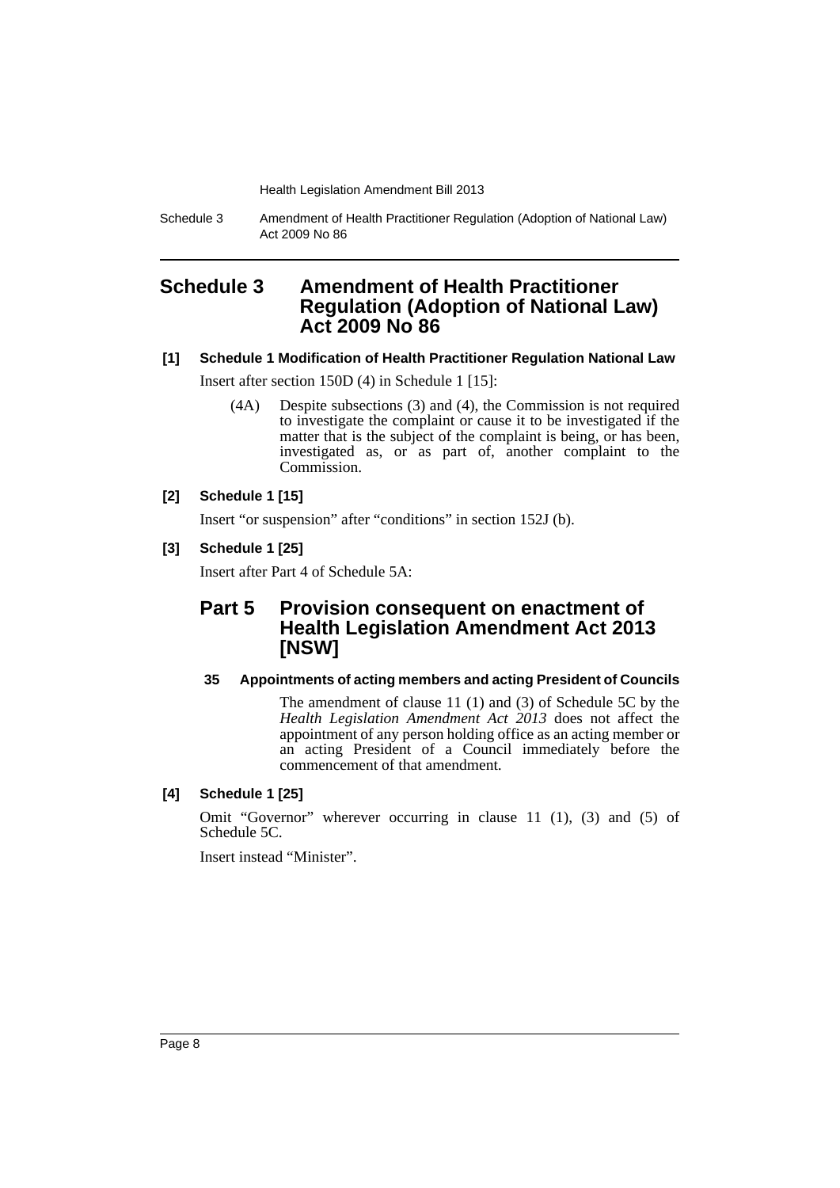Schedule 3 Amendment of Health Practitioner Regulation (Adoption of National Law) Act 2009 No 86

# <span id="page-8-0"></span>**Schedule 3 Amendment of Health Practitioner Regulation (Adoption of National Law) Act 2009 No 86**

# **[1] Schedule 1 Modification of Health Practitioner Regulation National Law** Insert after section 150D (4) in Schedule 1 [15]:

(4A) Despite subsections (3) and (4), the Commission is not required to investigate the complaint or cause it to be investigated if the matter that is the subject of the complaint is being, or has been, investigated as, or as part of, another complaint to the Commission.

# **[2] Schedule 1 [15]**

Insert "or suspension" after "conditions" in section 152J (b).

# **[3] Schedule 1 [25]**

Insert after Part 4 of Schedule 5A:

# **Part 5 Provision consequent on enactment of Health Legislation Amendment Act 2013 [NSW]**

## **35 Appointments of acting members and acting President of Councils**

The amendment of clause 11 (1) and (3) of Schedule 5C by the *Health Legislation Amendment Act 2013* does not affect the appointment of any person holding office as an acting member or an acting President of a Council immediately before the commencement of that amendment.

## **[4] Schedule 1 [25]**

Omit "Governor" wherever occurring in clause 11 (1), (3) and (5) of Schedule 5C.

Insert instead "Minister".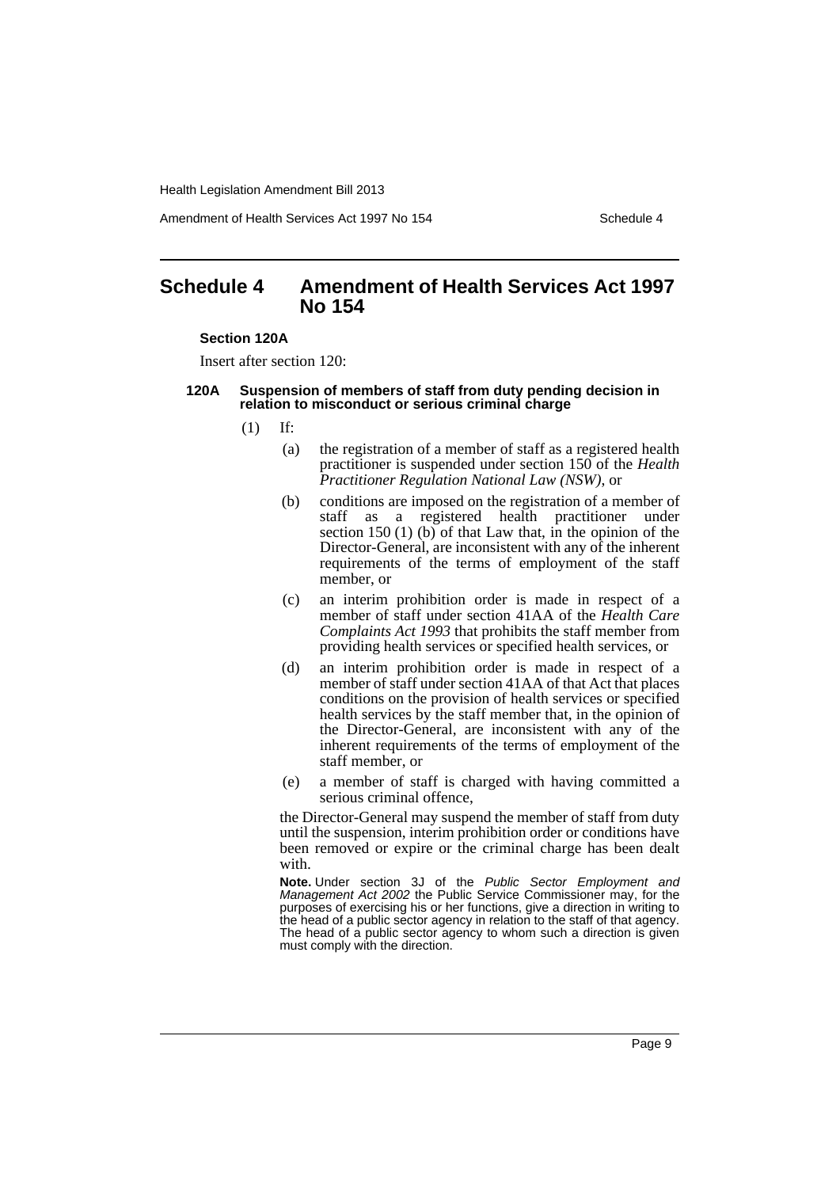Amendment of Health Services Act 1997 No 154 Schedule 4

# <span id="page-9-0"></span>**Schedule 4 Amendment of Health Services Act 1997 No 154**

#### **Section 120A**

Insert after section 120:

## **120A Suspension of members of staff from duty pending decision in relation to misconduct or serious criminal charge**

- $(1)$  If:
	- (a) the registration of a member of staff as a registered health practitioner is suspended under section 150 of the *Health Practitioner Regulation National Law (NSW)*, or
	- (b) conditions are imposed on the registration of a member of staff as a registered health practitioner under section 150 (1) (b) of that Law that, in the opinion of the Director-General, are inconsistent with any of the inherent requirements of the terms of employment of the staff member, or
	- (c) an interim prohibition order is made in respect of a member of staff under section 41AA of the *Health Care Complaints Act 1993* that prohibits the staff member from providing health services or specified health services, or
	- (d) an interim prohibition order is made in respect of a member of staff under section 41AA of that Act that places conditions on the provision of health services or specified health services by the staff member that, in the opinion of the Director-General, are inconsistent with any of the inherent requirements of the terms of employment of the staff member, or
	- (e) a member of staff is charged with having committed a serious criminal offence,

the Director-General may suspend the member of staff from duty until the suspension, interim prohibition order or conditions have been removed or expire or the criminal charge has been dealt with.

**Note.** Under section 3J of the *Public Sector Employment and Management Act 2002* the Public Service Commissioner may, for the purposes of exercising his or her functions, give a direction in writing to the head of a public sector agency in relation to the staff of that agency. The head of a public sector agency to whom such a direction is given must comply with the direction.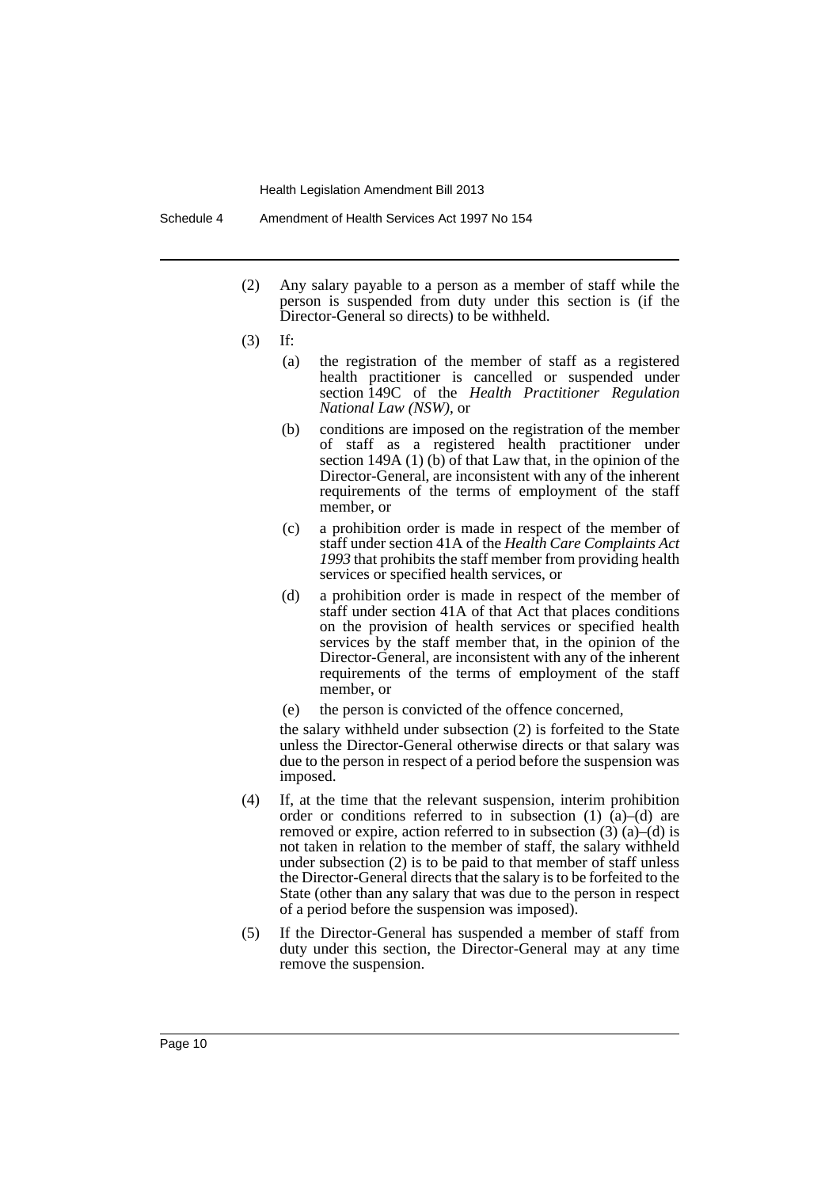Schedule 4 Amendment of Health Services Act 1997 No 154

- (2) Any salary payable to a person as a member of staff while the person is suspended from duty under this section is (if the Director-General so directs) to be withheld.
- (3) If:
	- (a) the registration of the member of staff as a registered health practitioner is cancelled or suspended under section 149C of the *Health Practitioner Regulation National Law (NSW)*, or
	- (b) conditions are imposed on the registration of the member of staff as a registered health practitioner under section 149A (1) (b) of that Law that, in the opinion of the Director-General, are inconsistent with any of the inherent requirements of the terms of employment of the staff member, or
	- (c) a prohibition order is made in respect of the member of staff under section 41A of the *Health Care Complaints Act 1993* that prohibits the staff member from providing health services or specified health services, or
	- (d) a prohibition order is made in respect of the member of staff under section 41A of that Act that places conditions on the provision of health services or specified health services by the staff member that, in the opinion of the Director-General, are inconsistent with any of the inherent requirements of the terms of employment of the staff member, or
	- (e) the person is convicted of the offence concerned,

the salary withheld under subsection (2) is forfeited to the State unless the Director-General otherwise directs or that salary was due to the person in respect of a period before the suspension was imposed.

- (4) If, at the time that the relevant suspension, interim prohibition order or conditions referred to in subsection (1)  $\hat{a}$ –(d) are removed or expire, action referred to in subsection  $(3)$   $(a)$ – $(d)$  is not taken in relation to the member of staff, the salary withheld under subsection (2) is to be paid to that member of staff unless the Director-General directs that the salary is to be forfeited to the State (other than any salary that was due to the person in respect of a period before the suspension was imposed).
- (5) If the Director-General has suspended a member of staff from duty under this section, the Director-General may at any time remove the suspension.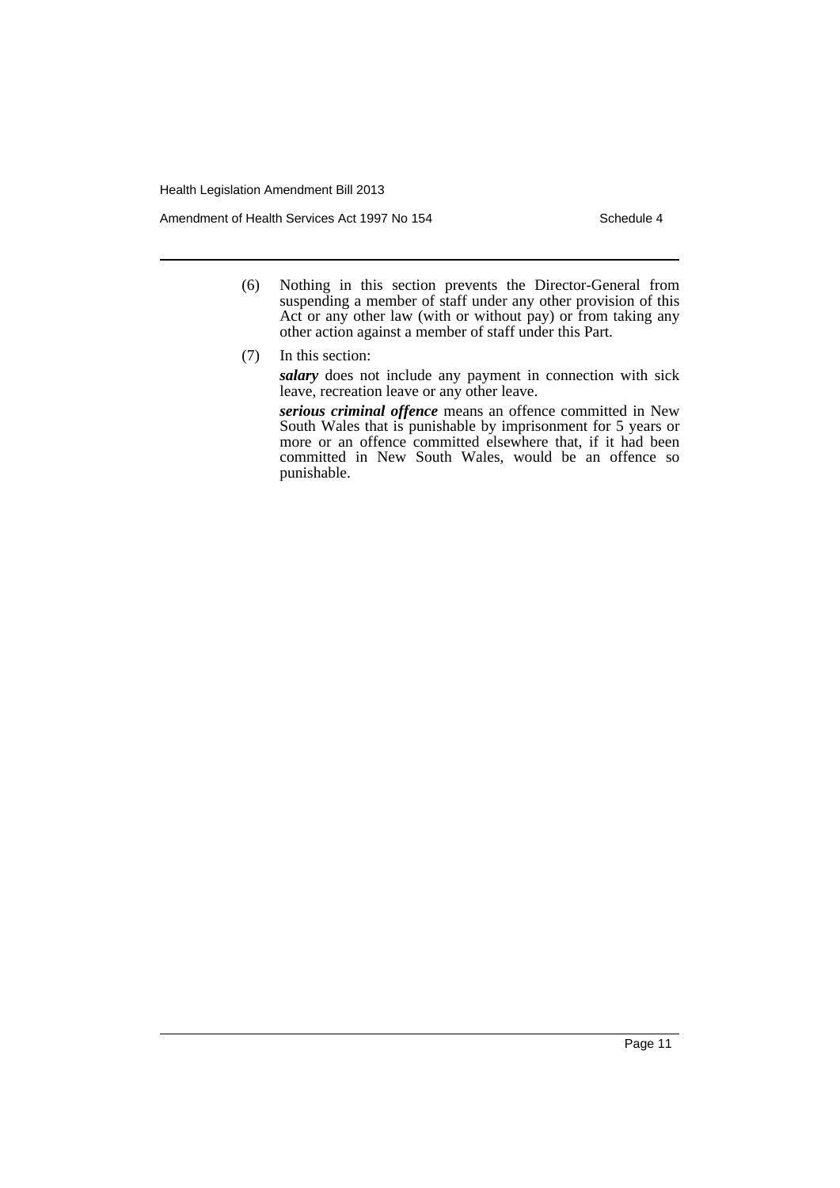Amendment of Health Services Act 1997 No 154 Schedule 4

- (6) Nothing in this section prevents the Director-General from suspending a member of staff under any other provision of this Act or any other law (with or without pay) or from taking any other action against a member of staff under this Part.
- (7) In this section:

*salary* does not include any payment in connection with sick leave, recreation leave or any other leave.

*serious criminal offence* means an offence committed in New South Wales that is punishable by imprisonment for 5 years or more or an offence committed elsewhere that, if it had been committed in New South Wales, would be an offence so punishable.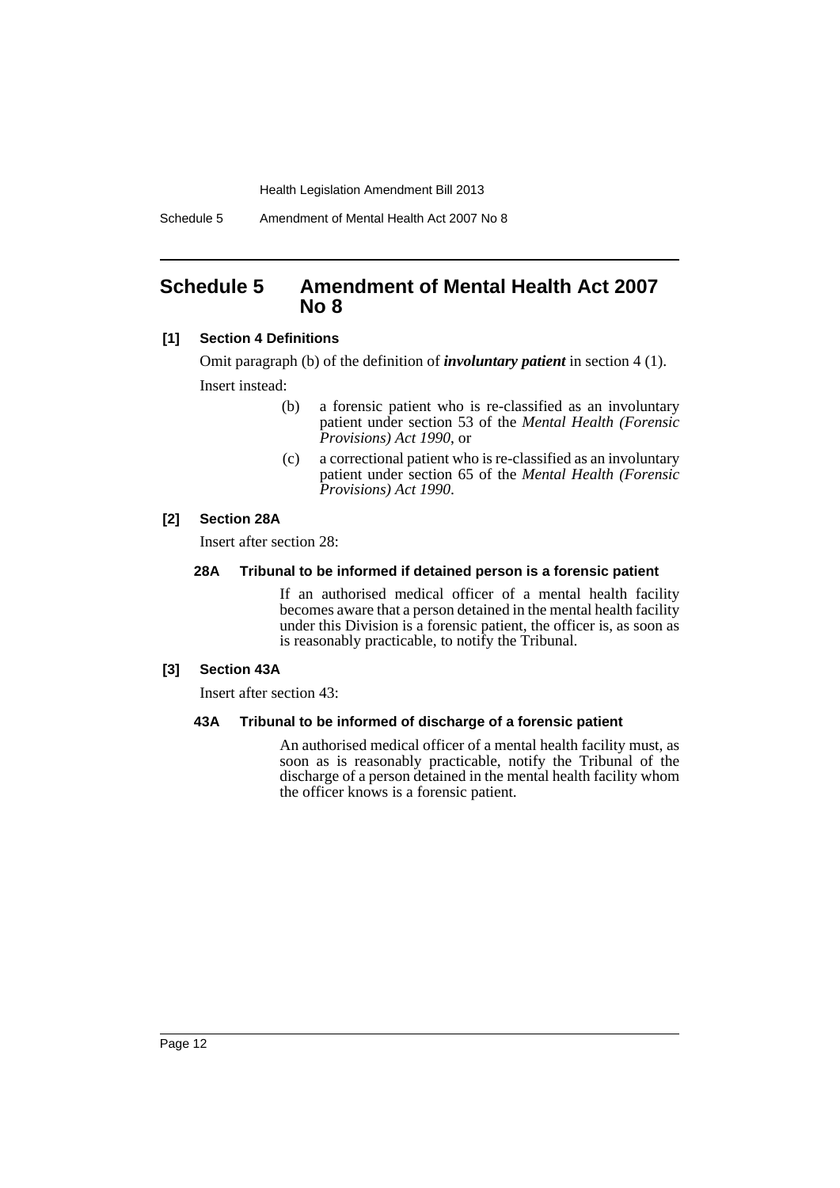Schedule 5 Amendment of Mental Health Act 2007 No 8

# <span id="page-12-0"></span>**Schedule 5 Amendment of Mental Health Act 2007 No 8**

## **[1] Section 4 Definitions**

Omit paragraph (b) of the definition of *involuntary patient* in section 4 (1). Insert instead:

- (b) a forensic patient who is re-classified as an involuntary patient under section 53 of the *Mental Health (Forensic Provisions) Act 1990*, or
- (c) a correctional patient who is re-classified as an involuntary patient under section 65 of the *Mental Health (Forensic Provisions) Act 1990*.

## **[2] Section 28A**

Insert after section 28:

## **28A Tribunal to be informed if detained person is a forensic patient**

If an authorised medical officer of a mental health facility becomes aware that a person detained in the mental health facility under this Division is a forensic patient, the officer is, as soon as is reasonably practicable, to notify the Tribunal.

## **[3] Section 43A**

Insert after section 43:

## **43A Tribunal to be informed of discharge of a forensic patient**

An authorised medical officer of a mental health facility must, as soon as is reasonably practicable, notify the Tribunal of the discharge of a person detained in the mental health facility whom the officer knows is a forensic patient.